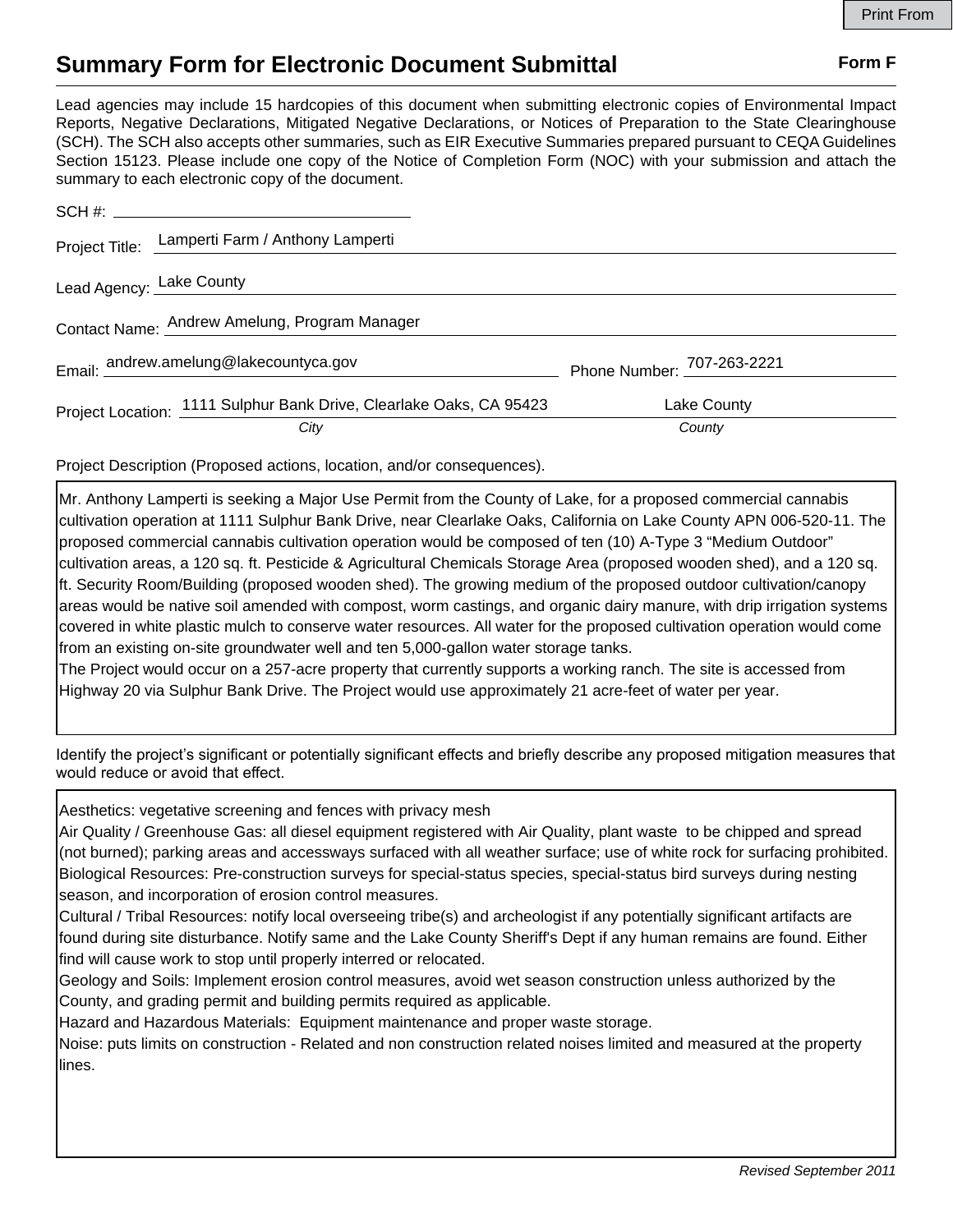## **Summary Form for Electronic Document Submittal Form F Form F**

Lead agencies may include 15 hardcopies of this document when submitting electronic copies of Environmental Impact Reports, Negative Declarations, Mitigated Negative Declarations, or Notices of Preparation to the State Clearinghouse (SCH). The SCH also accepts other summaries, such as EIR Executive Summaries prepared pursuant to CEQA Guidelines Section 15123. Please include one copy of the Notice of Completion Form (NOC) with your submission and attach the summary to each electronic copy of the document.

|                                               | Project Title: Lamperti Farm / Anthony Lamperti                     |                            |
|-----------------------------------------------|---------------------------------------------------------------------|----------------------------|
| Lead Agency: Lake County                      |                                                                     |                            |
| Contact Name: Andrew Amelung, Program Manager |                                                                     |                            |
|                                               | Email: andrew.amelung@lakecountyca.gov                              | Phone Number: 707-263-2221 |
|                                               | Project Location: 1111 Sulphur Bank Drive, Clearlake Oaks, CA 95423 | Lake County                |
|                                               | City                                                                | County                     |

Project Description (Proposed actions, location, and/or consequences).

Mr. Anthony Lamperti is seeking a Major Use Permit from the County of Lake, for a proposed commercial cannabis cultivation operation at 1111 Sulphur Bank Drive, near Clearlake Oaks, California on Lake County APN 006-520-11. The proposed commercial cannabis cultivation operation would be composed of ten (10) A-Type 3 "Medium Outdoor" cultivation areas, a 120 sq. ft. Pesticide & Agricultural Chemicals Storage Area (proposed wooden shed), and a 120 sq. ft. Security Room/Building (proposed wooden shed). The growing medium of the proposed outdoor cultivation/canopy areas would be native soil amended with compost, worm castings, and organic dairy manure, with drip irrigation systems covered in white plastic mulch to conserve water resources. All water for the proposed cultivation operation would come from an existing on-site groundwater well and ten 5,000-gallon water storage tanks.

The Project would occur on a 257-acre property that currently supports a working ranch. The site is accessed from Highway 20 via Sulphur Bank Drive. The Project would use approximately 21 acre-feet of water per year.

Identify the project's significant or potentially significant effects and briefly describe any proposed mitigation measures that would reduce or avoid that effect.

Aesthetics: vegetative screening and fences with privacy mesh

Air Quality / Greenhouse Gas: all diesel equipment registered with Air Quality, plant waste to be chipped and spread (not burned); parking areas and accessways surfaced with all weather surface; use of white rock for surfacing prohibited. Biological Resources: Pre-construction surveys for special-status species, special-status bird surveys during nesting season, and incorporation of erosion control measures.

Cultural / Tribal Resources: notify local overseeing tribe(s) and archeologist if any potentially significant artifacts are found during site disturbance. Notify same and the Lake County Sheriff's Dept if any human remains are found. Either find will cause work to stop until properly interred or relocated.

Geology and Soils: Implement erosion control measures, avoid wet season construction unless authorized by the County, and grading permit and building permits required as applicable.

Hazard and Hazardous Materials: Equipment maintenance and proper waste storage.

Noise: puts limits on construction - Related and non construction related noises limited and measured at the property lines.